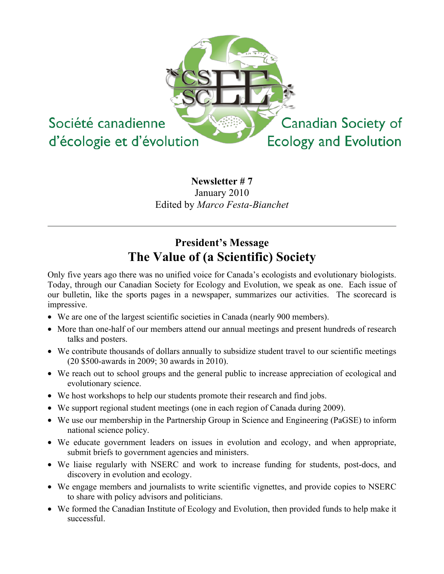

## **Newsletter # 7** January 2010 Edited by *Marco Festa-Bianchet*

# **President's Message The Value of (a Scientific) Society**

Only five years ago there was no unified voice for Canada's ecologists and evolutionary biologists. Today, through our Canadian Society for Ecology and Evolution, we speak as one. Each issue of our bulletin, like the sports pages in a newspaper, summarizes our activities. The scorecard is impressive.

- We are one of the largest scientific societies in Canada (nearly 900 members).
- More than one-half of our members attend our annual meetings and present hundreds of research talks and posters.
- We contribute thousands of dollars annually to subsidize student travel to our scientific meetings (20 \$500-awards in 2009; 30 awards in 2010).
- We reach out to school groups and the general public to increase appreciation of ecological and evolutionary science.
- We host workshops to help our students promote their research and find jobs.
- We support regional student meetings (one in each region of Canada during 2009).
- We use our membership in the Partnership Group in Science and Engineering (PaGSE) to inform national science policy.
- We educate government leaders on issues in evolution and ecology, and when appropriate, submit briefs to government agencies and ministers.
- We liaise regularly with NSERC and work to increase funding for students, post-docs, and discovery in evolution and ecology.
- We engage members and journalists to write scientific vignettes, and provide copies to NSERC to share with policy advisors and politicians.
- We formed the Canadian Institute of Ecology and Evolution, then provided funds to help make it successful.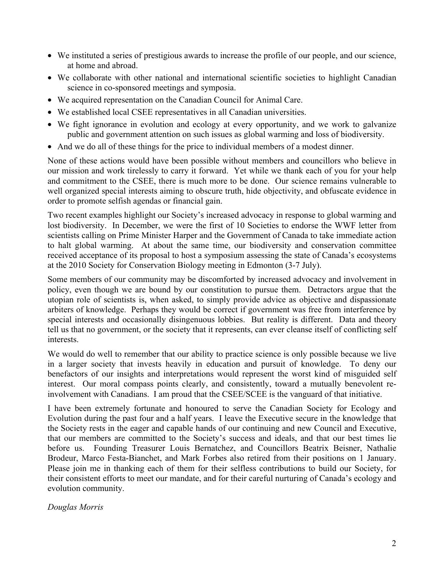- We instituted a series of prestigious awards to increase the profile of our people, and our science, at home and abroad.
- We collaborate with other national and international scientific societies to highlight Canadian science in co-sponsored meetings and symposia.
- We acquired representation on the Canadian Council for Animal Care.
- We established local CSEE representatives in all Canadian universities.
- We fight ignorance in evolution and ecology at every opportunity, and we work to galvanize public and government attention on such issues as global warming and loss of biodiversity.
- And we do all of these things for the price to individual members of a modest dinner.

None of these actions would have been possible without members and councillors who believe in our mission and work tirelessly to carry it forward. Yet while we thank each of you for your help and commitment to the CSEE, there is much more to be done. Our science remains vulnerable to well organized special interests aiming to obscure truth, hide objectivity, and obfuscate evidence in order to promote selfish agendas or financial gain.

Two recent examples highlight our Society's increased advocacy in response to global warming and lost biodiversity. In December, we were the first of 10 Societies to endorse the WWF letter from scientists calling on Prime Minister Harper and the Government of Canada to take immediate action to halt global warming. At about the same time, our biodiversity and conservation committee received acceptance of its proposal to host a symposium assessing the state of Canada's ecosystems at the 2010 Society for Conservation Biology meeting in Edmonton (3-7 July).

Some members of our community may be discomforted by increased advocacy and involvement in policy, even though we are bound by our constitution to pursue them. Detractors argue that the utopian role of scientists is, when asked, to simply provide advice as objective and dispassionate arbiters of knowledge. Perhaps they would be correct if government was free from interference by special interests and occasionally disingenuous lobbies. But reality is different. Data and theory tell us that no government, or the society that it represents, can ever cleanse itself of conflicting self interests.

We would do well to remember that our ability to practice science is only possible because we live in a larger society that invests heavily in education and pursuit of knowledge. To deny our benefactors of our insights and interpretations would represent the worst kind of misguided self interest. Our moral compass points clearly, and consistently, toward a mutually benevolent reinvolvement with Canadians. I am proud that the CSEE/SCEE is the vanguard of that initiative.

I have been extremely fortunate and honoured to serve the Canadian Society for Ecology and Evolution during the past four and a half years. I leave the Executive secure in the knowledge that the Society rests in the eager and capable hands of our continuing and new Council and Executive, that our members are committed to the Society's success and ideals, and that our best times lie before us. Founding Treasurer Louis Bernatchez, and Councillors Beatrix Beisner, Nathalie Brodeur, Marco Festa-Bianchet, and Mark Forbes also retired from their positions on 1 January. Please join me in thanking each of them for their selfless contributions to build our Society, for their consistent efforts to meet our mandate, and for their careful nurturing of Canada's ecology and evolution community.

#### *Douglas Morris*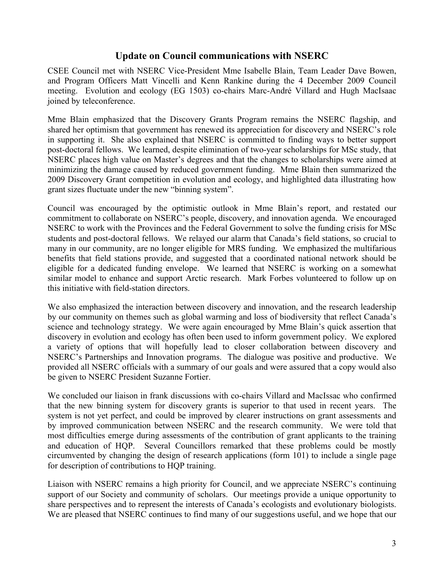### **Update on Council communications with NSERC**

CSEE Council met with NSERC Vice-President Mme Isabelle Blain, Team Leader Dave Bowen, and Program Officers Matt Vincelli and Kenn Rankine during the 4 December 2009 Council meeting. Evolution and ecology (EG 1503) co-chairs Marc-André Villard and Hugh MacIsaac joined by teleconference.

Mme Blain emphasized that the Discovery Grants Program remains the NSERC flagship, and shared her optimism that government has renewed its appreciation for discovery and NSERC's role in supporting it. She also explained that NSERC is committed to finding ways to better support post-doctoral fellows. We learned, despite elimination of two-year scholarships for MSc study, that NSERC places high value on Master's degrees and that the changes to scholarships were aimed at minimizing the damage caused by reduced government funding. Mme Blain then summarized the 2009 Discovery Grant competition in evolution and ecology, and highlighted data illustrating how grant sizes fluctuate under the new "binning system".

Council was encouraged by the optimistic outlook in Mme Blain's report, and restated our commitment to collaborate on NSERC's people, discovery, and innovation agenda. We encouraged NSERC to work with the Provinces and the Federal Government to solve the funding crisis for MSc students and post-doctoral fellows. We relayed our alarm that Canada's field stations, so crucial to many in our community, are no longer eligible for MRS funding. We emphasized the multifarious benefits that field stations provide, and suggested that a coordinated national network should be eligible for a dedicated funding envelope. We learned that NSERC is working on a somewhat similar model to enhance and support Arctic research. Mark Forbes volunteered to follow up on this initiative with field-station directors.

We also emphasized the interaction between discovery and innovation, and the research leadership by our community on themes such as global warming and loss of biodiversity that reflect Canada's science and technology strategy. We were again encouraged by Mme Blain's quick assertion that discovery in evolution and ecology has often been used to inform government policy. We explored a variety of options that will hopefully lead to closer collaboration between discovery and NSERC's Partnerships and Innovation programs. The dialogue was positive and productive. We provided all NSERC officials with a summary of our goals and were assured that a copy would also be given to NSERC President Suzanne Fortier.

We concluded our liaison in frank discussions with co-chairs Villard and MacIssac who confirmed that the new binning system for discovery grants is superior to that used in recent years. The system is not yet perfect, and could be improved by clearer instructions on grant assessments and by improved communication between NSERC and the research community. We were told that most difficulties emerge during assessments of the contribution of grant applicants to the training and education of HQP. Several Councillors remarked that these problems could be mostly circumvented by changing the design of research applications (form 101) to include a single page for description of contributions to HQP training.

Liaison with NSERC remains a high priority for Council, and we appreciate NSERC's continuing support of our Society and community of scholars. Our meetings provide a unique opportunity to share perspectives and to represent the interests of Canada's ecologists and evolutionary biologists. We are pleased that NSERC continues to find many of our suggestions useful, and we hope that our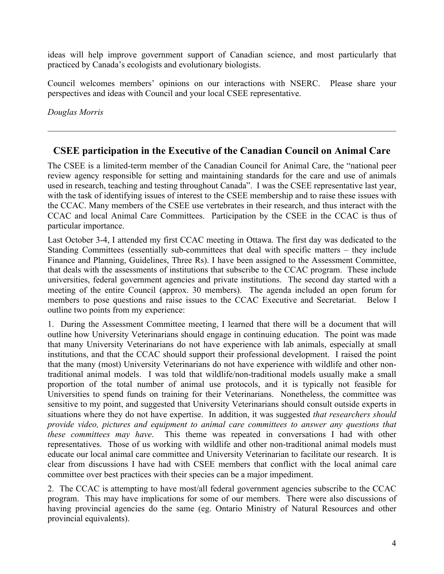ideas will help improve government support of Canadian science, and most particularly that practiced by Canada's ecologists and evolutionary biologists.

Council welcomes members' opinions on our interactions with NSERC. Please share your perspectives and ideas with Council and your local CSEE representative.

*Douglas Morris*

## **CSEE participation in the Executive of the Canadian Council on Animal Care**

The CSEE is a limited-term member of the Canadian Council for Animal Care, the "national peer review agency responsible for setting and maintaining standards for the care and use of animals used in research, teaching and testing throughout Canada". I was the CSEE representative last year, with the task of identifying issues of interest to the CSEE membership and to raise these issues with the CCAC. Many members of the CSEE use vertebrates in their research, and thus interact with the CCAC and local Animal Care Committees. Participation by the CSEE in the CCAC is thus of particular importance.

Last October 3-4, I attended my first CCAC meeting in Ottawa. The first day was dedicated to the Standing Committees (essentially sub-committees that deal with specific matters – they include Finance and Planning, Guidelines, Three Rs). I have been assigned to the Assessment Committee, that deals with the assessments of institutions that subscribe to the CCAC program. These include universities, federal government agencies and private institutions. The second day started with a meeting of the entire Council (approx. 30 members). The agenda included an open forum for members to pose questions and raise issues to the CCAC Executive and Secretariat. Below I outline two points from my experience:

1. During the Assessment Committee meeting, I learned that there will be a document that will outline how University Veterinarians should engage in continuing education. The point was made that many University Veterinarians do not have experience with lab animals, especially at small institutions, and that the CCAC should support their professional development. I raised the point that the many (most) University Veterinarians do not have experience with wildlife and other nontraditional animal models. I was told that wildlife/non-traditional models usually make a small proportion of the total number of animal use protocols, and it is typically not feasible for Universities to spend funds on training for their Veterinarians. Nonetheless, the committee was sensitive to my point, and suggested that University Veterinarians should consult outside experts in situations where they do not have expertise. In addition, it was suggested *that researchers should provide video, pictures and equipment to animal care committees to answer any questions that these committees may have*. This theme was repeated in conversations I had with other representatives. Those of us working with wildlife and other non-traditional animal models must educate our local animal care committee and University Veterinarian to facilitate our research. It is clear from discussions I have had with CSEE members that conflict with the local animal care committee over best practices with their species can be a major impediment.

2. The CCAC is attempting to have most/all federal government agencies subscribe to the CCAC program. This may have implications for some of our members. There were also discussions of having provincial agencies do the same (eg. Ontario Ministry of Natural Resources and other provincial equivalents).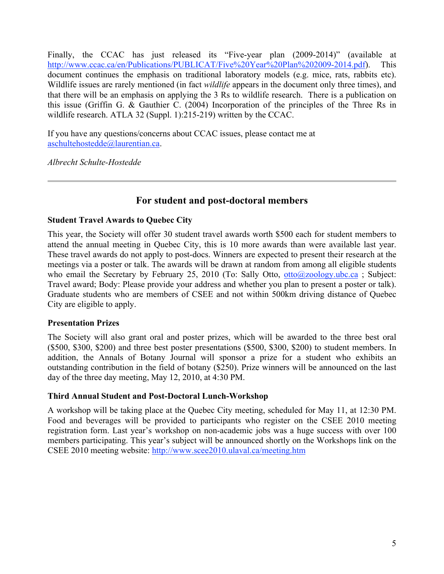Finally, the CCAC has just released its "Five-year plan (2009-2014)" (available at http://www.ccac.ca/en/Publications/PUBLICAT/Five%20Year%20Plan%202009-2014.pdf). This document continues the emphasis on traditional laboratory models (e.g. mice, rats, rabbits etc). Wildlife issues are rarely mentioned (in fact *wildlife* appears in the document only three times), and that there will be an emphasis on applying the 3 Rs to wildlife research. There is a publication on this issue (Griffin G. & Gauthier C. (2004) Incorporation of the principles of the Three Rs in wildlife research. ATLA 32 (Suppl. 1):215-219) written by the CCAC.

If you have any questions/concerns about CCAC issues, please contact me at aschultehostedde@laurentian.ca.

*Albrecht Schulte-Hostedde*

## **For student and post-doctoral members**

#### **Student Travel Awards to Quebec City**

This year, the Society will offer 30 student travel awards worth \$500 each for student members to attend the annual meeting in Quebec City, this is 10 more awards than were available last year. These travel awards do not apply to post-docs. Winners are expected to present their research at the meetings via a poster or talk. The awards will be drawn at random from among all eligible students who email the Secretary by February 25, 2010 (To: Sally Otto,  $otto@zoology.ubc.ca$ ; Subject: Travel award; Body: Please provide your address and whether you plan to present a poster or talk). Graduate students who are members of CSEE and not within 500km driving distance of Quebec City are eligible to apply.

#### **Presentation Prizes**

The Society will also grant oral and poster prizes, which will be awarded to the three best oral (\$500, \$300, \$200) and three best poster presentations (\$500, \$300, \$200) to student members. In addition, the Annals of Botany Journal will sponsor a prize for a student who exhibits an outstanding contribution in the field of botany (\$250). Prize winners will be announced on the last day of the three day meeting, May 12, 2010, at 4:30 PM.

#### **Third Annual Student and Post-Doctoral Lunch-Workshop**

A workshop will be taking place at the Quebec City meeting, scheduled for May 11, at 12:30 PM. Food and beverages will be provided to participants who register on the CSEE 2010 meeting registration form. Last year's workshop on non-academic jobs was a huge success with over 100 members participating. This year's subject will be announced shortly on the Workshops link on the CSEE 2010 meeting website: http://www.scee2010.ulaval.ca/meeting.htm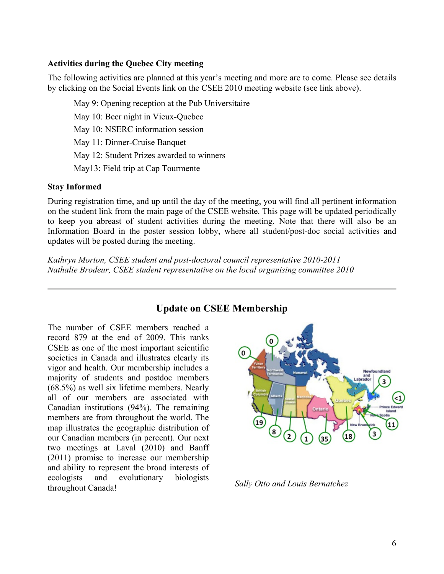#### **Activities during the Quebec City meeting**

The following activities are planned at this year's meeting and more are to come. Please see details by clicking on the Social Events link on the CSEE 2010 meeting website (see link above).

May 9: Opening reception at the Pub Universitaire May 10: Beer night in Vieux-Quebec May 10: NSERC information session May 11: Dinner-Cruise Banquet May 12: Student Prizes awarded to winners May13: Field trip at Cap Tourmente

#### **Stay Informed**

During registration time, and up until the day of the meeting, you will find all pertinent information on the student link from the main page of the CSEE website. This page will be updated periodically to keep you abreast of student activities during the meeting. Note that there will also be an Information Board in the poster session lobby, where all student/post-doc social activities and updates will be posted during the meeting.

*Kathryn Morton, CSEE student and post-doctoral council representative 2010-2011 Nathalie Brodeur, CSEE student representative on the local organising committee 2010*

## **Update on CSEE Membership**

The number of CSEE members reached a record 879 at the end of 2009. This ranks CSEE as one of the most important scientific societies in Canada and illustrates clearly its vigor and health. Our membership includes a majority of students and postdoc members (68.5%) as well six lifetime members. Nearly all of our members are associated with Canadian institutions (94%). The remaining members are from throughout the world. The map illustrates the geographic distribution of our Canadian members (in percent). Our next two meetings at Laval (2010) and Banff (2011) promise to increase our membership and ability to represent the broad interests of ecologists and evolutionary biologists throughout Canada! *Sally Otto and Louis Bernatchez*

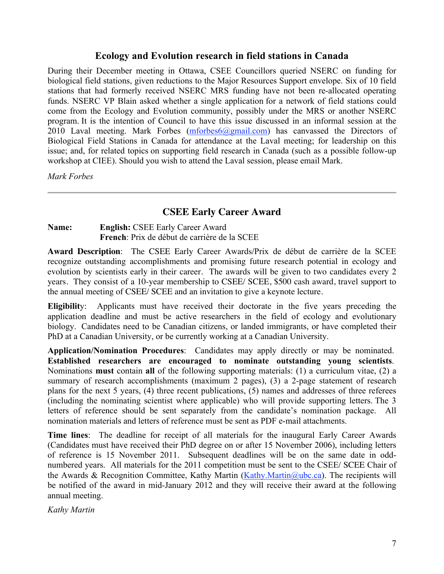#### **Ecology and Evolution research in field stations in Canada**

During their December meeting in Ottawa, CSEE Councillors queried NSERC on funding for biological field stations, given reductions to the Major Resources Support envelope. Six of 10 field stations that had formerly received NSERC MRS funding have not been re-allocated operating funds. NSERC VP Blain asked whether a single application for a network of field stations could come from the Ecology and Evolution community, possibly under the MRS or another NSERC program. It is the intention of Council to have this issue discussed in an informal session at the 2010 Laval meeting. Mark Forbes  $(mforbes6@gmail.com)$  has canvassed the Directors of Biological Field Stations in Canada for attendance at the Laval meeting; for leadership on this issue; and, for related topics on supporting field research in Canada (such as a possible follow-up workshop at CIEE). Should you wish to attend the Laval session, please email Mark.

*Mark Forbes*

## **CSEE Early Career Award**

#### **Name: English:** CSEE Early Career Award **French**: Prix de début de carrière de la SCEE

**Award Description**: The CSEE Early Career Awards/Prix de début de carrière de la SCEE recognize outstanding accomplishments and promising future research potential in ecology and evolution by scientists early in their career. The awards will be given to two candidates every 2 years. They consist of a 10-year membership to CSEE/ SCEE, \$500 cash award, travel support to the annual meeting of CSEE/ SCEE and an invitation to give a keynote lecture.

**Eligibilit**y: Applicants must have received their doctorate in the five years preceding the application deadline and must be active researchers in the field of ecology and evolutionary biology. Candidates need to be Canadian citizens, or landed immigrants, or have completed their PhD at a Canadian University, or be currently working at a Canadian University.

**Application/Nomination Procedures**: Candidates may apply directly or may be nominated. **Established researchers are encouraged to nominate outstanding young scientists**. Nominations **must** contain **all** of the following supporting materials: (1) a curriculum vitae, (2) a summary of research accomplishments (maximum 2 pages), (3) a 2-page statement of research plans for the next 5 years, (4) three recent publications, (5) names and addresses of three referees (including the nominating scientist where applicable) who will provide supporting letters. The 3 letters of reference should be sent separately from the candidate's nomination package. All nomination materials and letters of reference must be sent as PDF e-mail attachments.

**Time lines**: The deadline for receipt of all materials for the inaugural Early Career Awards (Candidates must have received their PhD degree on or after 15 November 2006), including letters of reference is 15 November 2011. Subsequent deadlines will be on the same date in oddnumbered years. All materials for the 2011 competition must be sent to the CSEE/ SCEE Chair of the Awards & Recognition Committee, Kathy Martin (Kathy.Martin @ubc.ca). The recipients will be notified of the award in mid-January 2012 and they will receive their award at the following annual meeting.

*Kathy Martin*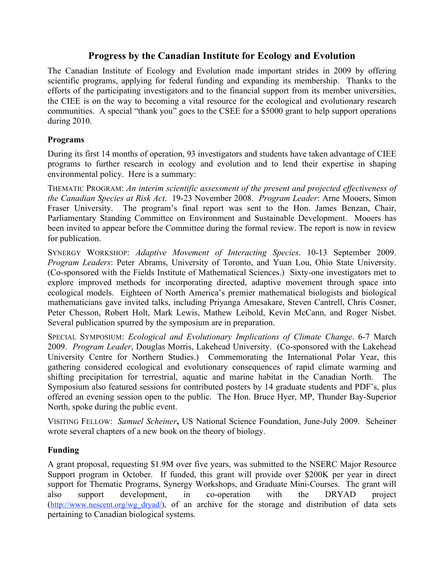## **Progress by the Canadian Institute for Ecology and Evolution**

The Canadian Institute of Ecology and Evolution made important strides in 2009 by offering scientific programs, applying for federal funding and expanding its membership. Thanks to the efforts of the participating investigators and to the financial support from its member universities, the CIEE is on the way to becoming a vital resource for the ecological and evolutionary research communities. A special "thank you" goes to the CSEE for a \$5000 grant to help support operations during 2010.

#### **Programs**

During its first 14 months of operation, 93 investigators and students have taken advantage of CIEE programs to further research in ecology and evolution and to lend their expertise in shaping environmental policy. Here is a summary:

THEMATIC PROGRAM: *An interim scientific assessment of the present and projected effectiveness of the Canadian Species at Risk Act*. 19-23 November 2008. *Program Leader*: Arne Mooers, Simon Fraser University. The program's final report was sent to the Hon. James Benzan, Chair, Parliamentary Standing Committee on Environment and Sustainable Development. Mooers has been invited to appear before the Committee during the formal review. The report is now in review for publication.

SYNERGY WORKSHOP: *Adaptive Movement of Interacting Species*. 10-13 September 2009. *Program Leaders*: Peter Abrams, University of Toronto, and Yuan Lou, Ohio State University. (Co-sponsored with the Fields Institute of Mathematical Sciences.) Sixty-one investigators met to explore improved methods for incorporating directed, adaptive movement through space into ecological models. Eighteen of North America's premier mathematical biologists and biological mathematicians gave invited talks, including Priyanga Amesakare, Steven Cantrell, Chris Cosner, Peter Chesson, Robert Holt, Mark Lewis, Mathew Leibold, Kevin McCann, and Roger Nisbet. Several publication spurred by the symposium are in preparation.

SPECIAL SYMPOSIUM: *Ecological and Evolutionary Implications of Climate Change*. 6-7 March 2009. *Program Leader*, Douglas Morris, Lakehead University. (Co-sponsored with the Lakehead University Centre for Northern Studies.) Commemorating the International Polar Year, this gathering considered ecological and evolutionary consequences of rapid climate warming and shifting precipitation for terrestrial, aquatic and marine habitat in the Canadian North. The Symposium also featured sessions for contributed posters by 14 graduate students and PDF's, plus offered an evening session open to the public. The Hon. Bruce Hyer, MP, Thunder Bay-Superior North, spoke during the public event.

VISITING FELLOW: *Samuel Scheiner***,** US National Science Foundation, June-July 2009. Scheiner wrote several chapters of a new book on the theory of biology.

### **Funding**

A grant proposal, requesting \$1.9M over five years, was submitted to the NSERC Major Resource Support program in October. If funded, this grant will provide over \$200K per year in direct support for Thematic Programs, Synergy Workshops, and Graduate Mini-Courses. The grant will also support development, in co-operation with the DRYAD project (http://www.nescent.org/wg dryad/), of an archive for the storage and distribution of data sets pertaining to Canadian biological systems.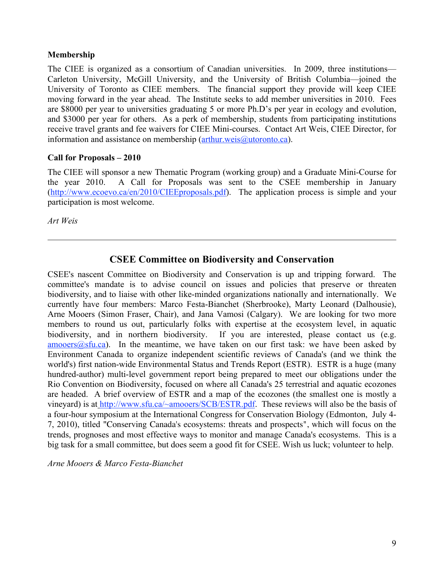#### **Membership**

The CIEE is organized as a consortium of Canadian universities. In 2009, three institutions— Carleton University, McGill University, and the University of British Columbia—joined the University of Toronto as CIEE members. The financial support they provide will keep CIEE moving forward in the year ahead. The Institute seeks to add member universities in 2010. Fees are \$8000 per year to universities graduating 5 or more Ph.D's per year in ecology and evolution, and \$3000 per year for others. As a perk of membership, students from participating institutions receive travel grants and fee waivers for CIEE Mini-courses. Contact Art Weis, CIEE Director, for information and assistance on membership (arthur.weis@utoronto.ca).

#### **Call for Proposals – 2010**

The CIEE will sponsor a new Thematic Program (working group) and a Graduate Mini-Course for the year 2010. A Call for Proposals was sent to the CSEE membership in January (http://www.ecoevo.ca/en/2010/CIEEproposals.pdf). The application process is simple and your participation is most welcome.

*Art Weis*

### **CSEE Committee on Biodiversity and Conservation**

CSEE's nascent Committee on Biodiversity and Conservation is up and tripping forward. The committee's mandate is to advise council on issues and policies that preserve or threaten biodiversity, and to liaise with other like-minded organizations nationally and internationally. We currently have four members: Marco Festa-Bianchet (Sherbrooke), Marty Leonard (Dalhousie), Arne Mooers (Simon Fraser, Chair), and Jana Vamosi (Calgary). We are looking for two more members to round us out, particularly folks with expertise at the ecosystem level, in aquatic biodiversity, and in northern biodiversity. If you are interested, please contact us (e.g.  $amooers(a)stu.ca)$ . In the meantime, we have taken on our first task: we have been asked by Environment Canada to organize independent scientific reviews of Canada's (and we think the world's) first nation-wide Environmental Status and Trends Report (ESTR). ESTR is a huge (many hundred-author) multi-level government report being prepared to meet our obligations under the Rio Convention on Biodiversity, focused on where all Canada's 25 terrestrial and aquatic ecozones are headed. A brief overview of ESTR and a map of the ecozones (the smallest one is mostly a vineyard) is at http://www.sfu.ca/~amooers/SCB/ESTR.pdf. These reviews will also be the basis of a four-hour symposium at the International Congress for Conservation Biology (Edmonton, July 4- 7, 2010), titled "Conserving Canada's ecosystems: threats and prospects", which will focus on the trends, prognoses and most effective ways to monitor and manage Canada's ecosystems. This is a big task for a small committee, but does seem a good fit for CSEE. Wish us luck; volunteer to help.

*Arne Mooers & Marco Festa-Bianchet*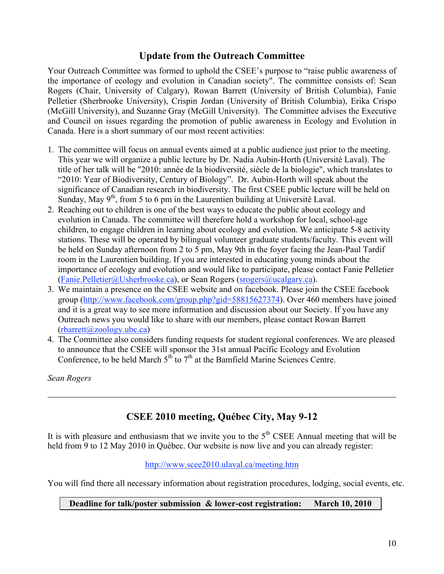## **Update from the Outreach Committee**

Your Outreach Committee was formed to uphold the CSEE's purpose to "raise public awareness of the importance of ecology and evolution in Canadian society". The committee consists of: Sean Rogers (Chair, University of Calgary), Rowan Barrett (University of British Columbia), Fanie Pelletier (Sherbrooke University), Crispin Jordan (University of British Columbia), Erika Crispo (McGill University), and Suzanne Gray (McGill University). The Committee advises the Executive and Council on issues regarding the promotion of public awareness in Ecology and Evolution in Canada. Here is a short summary of our most recent activities:

- 1. The committee will focus on annual events aimed at a public audience just prior to the meeting. This year we will organize a public lecture by Dr. Nadia Aubin-Horth (Université Laval). The title of her talk will be "2010: année de la biodiversité, siècle de la biologie", which translates to "2010: Year of Biodiversity, Century of Biology". Dr. Aubin-Horth will speak about the significance of Canadian research in biodiversity. The first CSEE public lecture will be held on Sunday, May  $9<sup>th</sup>$ , from 5 to 6 pm in the Laurentien building at Université Laval.
- 2. Reaching out to children is one of the best ways to educate the public about ecology and evolution in Canada. The committee will therefore hold a workshop for local, school-age children, to engage children in learning about ecology and evolution. We anticipate 5-8 activity stations. These will be operated by bilingual volunteer graduate students/faculty. This event will be held on Sunday afternoon from 2 to 5 pm, May 9th in the foyer facing the Jean-Paul Tardif room in the Laurentien building. If you are interested in educating young minds about the importance of ecology and evolution and would like to participate, please contact Fanie Pelletier (Fanie.Pelletier@Usherbrooke.ca), or Sean Rogers (srogers@ucalgary.ca).
- 3. We maintain a presence on the CSEE website and on facebook. Please join the CSEE facebook group (http://www.facebook.com/group.php?gid=58815627374). Over 460 members have joined and it is a great way to see more information and discussion about our Society. If you have any Outreach news you would like to share with our members, please contact Rowan Barrett  $(rbart t/\partial z)$ oology.ubc.ca
- 4. The Committee also considers funding requests for student regional conferences. We are pleased to announce that the CSEE will sponsor the 31st annual Pacific Ecology and Evolution Conference, to be held March  $5<sup>th</sup>$  to  $7<sup>th</sup>$  at the Bamfield Marine Sciences Centre.

*Sean Rogers*

## **CSEE 2010 meeting, Québec City, May 9-12**

It is with pleasure and enthusiasm that we invite you to the  $5<sup>th</sup>$  CSEE Annual meeting that will be held from 9 to 12 May 2010 in Québec. Our website is now live and you can already register:

### http://www.scee2010.ulaval.ca/meeting.htm

You will find there all necessary information about registration procedures, lodging, social events, etc.

#### **Deadline for talk/poster submission & lower-cost registration: March 10, 2010**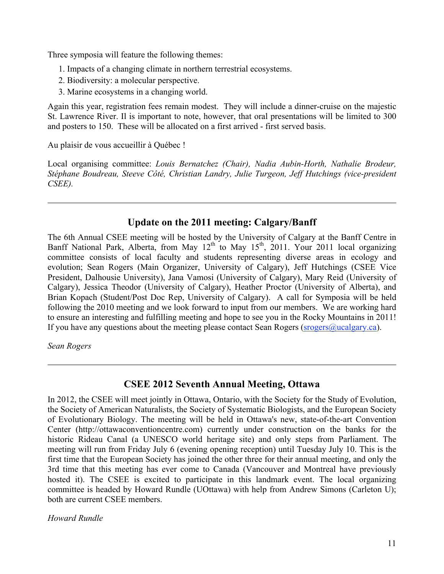Three symposia will feature the following themes:

- 1. Impacts of a changing climate in northern terrestrial ecosystems.
- 2. Biodiversity: a molecular perspective.
- 3. Marine ecosystems in a changing world.

Again this year, registration fees remain modest. They will include a dinner-cruise on the majestic St. Lawrence River. Il is important to note, however, that oral presentations will be limited to 300 and posters to 150. These will be allocated on a first arrived - first served basis.

Au plaisir de vous accueillir à Québec !

Local organising committee: *Louis Bernatchez (Chair), Nadia Aubin-Horth, Nathalie Brodeur, Stéphane Boudreau, Steeve Côté, Christian Landry, Julie Turgeon, Jeff Hutchings (vice-president CSEE).*

## **Update on the 2011 meeting: Calgary/Banff**

The 6th Annual CSEE meeting will be hosted by the University of Calgary at the Banff Centre in Banff National Park, Alberta, from May  $12<sup>th</sup>$  to May  $15<sup>th</sup>$ , 2011. Your 2011 local organizing committee consists of local faculty and students representing diverse areas in ecology and evolution; Sean Rogers (Main Organizer, University of Calgary), Jeff Hutchings (CSEE Vice President, Dalhousie University), Jana Vamosi (University of Calgary), Mary Reid (University of Calgary), Jessica Theodor (University of Calgary), Heather Proctor (University of Alberta), and Brian Kopach (Student/Post Doc Rep, University of Calgary). A call for Symposia will be held following the 2010 meeting and we look forward to input from our members. We are working hard to ensure an interesting and fulfilling meeting and hope to see you in the Rocky Mountains in 2011! If you have any questions about the meeting please contact Sean Rogers (srogers  $\omega$ ucalgary.ca).

*Sean Rogers*

## **CSEE 2012 Seventh Annual Meeting, Ottawa**

In 2012, the CSEE will meet jointly in Ottawa, Ontario, with the Society for the Study of Evolution, the Society of American Naturalists, the Society of Systematic Biologists, and the European Society of Evolutionary Biology. The meeting will be held in Ottawa's new, state-of-the-art Convention Center (http://ottawaconventioncentre.com) currently under construction on the banks for the historic Rideau Canal (a UNESCO world heritage site) and only steps from Parliament. The meeting will run from Friday July 6 (evening opening reception) until Tuesday July 10. This is the first time that the European Society has joined the other three for their annual meeting, and only the 3rd time that this meeting has ever come to Canada (Vancouver and Montreal have previously hosted it). The CSEE is excited to participate in this landmark event. The local organizing committee is headed by Howard Rundle (UOttawa) with help from Andrew Simons (Carleton U); both are current CSEE members.

*Howard Rundle*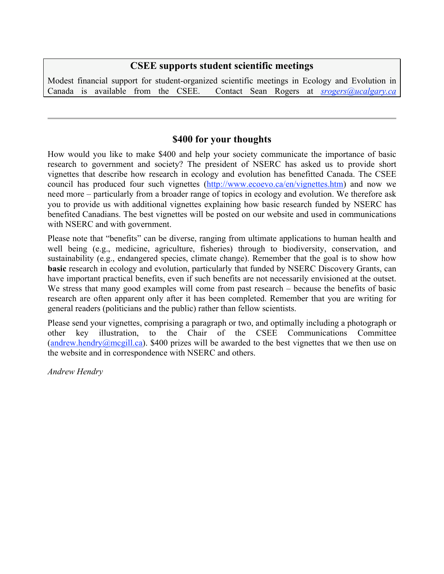### **CSEE supports student scientific meetings**

Modest financial support for student-organized scientific meetings in Ecology and Evolution in Canada is available from the CSEE. Contact Sean Rogers at *srogers@ucalgary.ca*

## **\$400 for your thoughts**

How would you like to make \$400 and help your society communicate the importance of basic research to government and society? The president of NSERC has asked us to provide short vignettes that describe how research in ecology and evolution has benefitted Canada. The CSEE council has produced four such vignettes (http://www.ecoevo.ca/en/vignettes.htm) and now we need more – particularly from a broader range of topics in ecology and evolution. We therefore ask you to provide us with additional vignettes explaining how basic research funded by NSERC has benefited Canadians. The best vignettes will be posted on our website and used in communications with NSERC and with government.

Please note that "benefits" can be diverse, ranging from ultimate applications to human health and well being (e.g., medicine, agriculture, fisheries) through to biodiversity, conservation, and sustainability (e.g., endangered species, climate change). Remember that the goal is to show how **basic** research in ecology and evolution, particularly that funded by NSERC Discovery Grants, can have important practical benefits, even if such benefits are not necessarily envisioned at the outset. We stress that many good examples will come from past research – because the benefits of basic research are often apparent only after it has been completed. Remember that you are writing for general readers (politicians and the public) rather than fellow scientists.

Please send your vignettes, comprising a paragraph or two, and optimally including a photograph or other key illustration, to the Chair of the CSEE Communications Committee  $(andrew.hendry@mcgill.ca)$ . \$400 prizes will be awarded to the best vignettes that we then use on the website and in correspondence with NSERC and others.

*Andrew Hendry*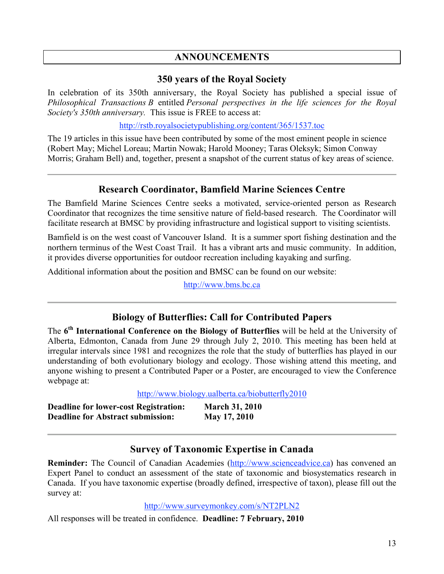## **ANNOUNCEMENTS**

#### **350 years of the Royal Society**

In celebration of its 350th anniversary, the Royal Society has published a special issue of *Philosophical Transactions B* entitled *Personal perspectives in the life sciences for the Royal Society's 350th anniversary.* This issue is FREE to access at:

http://rstb.royalsocietypublishing.org/content/365/1537.toc

The 19 articles in this issue have been contributed by some of the most eminent people in science (Robert May; Michel Loreau; Martin Nowak; Harold Mooney; Taras Oleksyk; Simon Conway Morris; Graham Bell) and, together, present a snapshot of the current status of key areas of science.

### **Research Coordinator, Bamfield Marine Sciences Centre**

The Bamfield Marine Sciences Centre seeks a motivated, service-oriented person as Research Coordinator that recognizes the time sensitive nature of field-based research. The Coordinator will facilitate research at BMSC by providing infrastructure and logistical support to visiting scientists.

Bamfield is on the west coast of Vancouver Island. It is a summer sport fishing destination and the northern terminus of the West Coast Trail. It has a vibrant arts and music community. In addition, it provides diverse opportunities for outdoor recreation including kayaking and surfing.

Additional information about the position and BMSC can be found on our website:

http://www.bms.bc.ca

## **Biology of Butterflies: Call for Contributed Papers**

The **6th International Conference on the Biology of Butterflies** will be held at the University of Alberta, Edmonton, Canada from June 29 through July 2, 2010. This meeting has been held at irregular intervals since 1981 and recognizes the role that the study of butterflies has played in our understanding of both evolutionary biology and ecology. Those wishing attend this meeting, and anyone wishing to present a Contributed Paper or a Poster, are encouraged to view the Conference webpage at:

http://www.biology.ualberta.ca/biobutterfly2010

| <b>Deadline for lower-cost Registration:</b> | <b>March 31, 2010</b> |
|----------------------------------------------|-----------------------|
| <b>Deadline for Abstract submission:</b>     | May 17, 2010          |

### **Survey of Taxonomic Expertise in Canada**

**Reminder:** The Council of Canadian Academies (http://www.scienceadvice.ca) has convened an Expert Panel to conduct an assessment of the state of taxonomic and biosystematics research in Canada. If you have taxonomic expertise (broadly defined, irrespective of taxon), please fill out the survey at:

#### http://www.surveymonkey.com/s/NT2PLN2

All responses will be treated in confidence. **Deadline: 7 February, 2010**